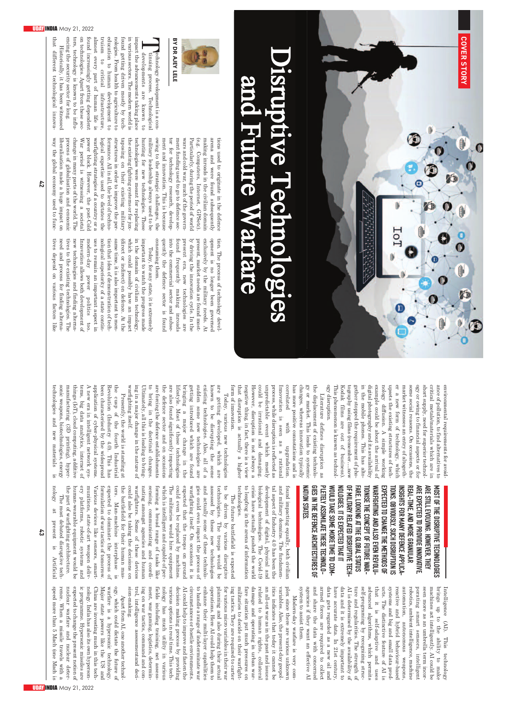

## $\blacksquare$ i srup tiv e T e **chno** l o **gg** i e **SP** and F uture W arfare



**Technology**<br>Thining<br>Televelopm<br>Televelopm development tinuing process. Technological process. developments are known impact the advancements taking in various sectors. The modern found getting driven mostly  $\mathbf{\hat{g}}$ nologies. From health to agriculture education  $\Xi$ human development truism to critical almost every part Q, human life found increasingly getting technologies. from these

is a con-Technological  $\Xi$ place world is tech- $\Xi$ to infrastructure, is dependent Apart sectechnology is known to be influsecurity sector for long. Historically, it has been witnessed different technological different technological innovaowing to military hunting the taposing structures formance. logical power War process

tions used to originate in the defence arena and were found subsequently making inroads in the civilian domain (e.g. Computers, Internet, GPSetc). Particularly, during the period of world wars and cold war, much of the government funding used to go to defence sector for technology research, development and innovation. This is because the strategic challenges, the leadership always used to be for new technologies. These technologies were meant for replacing existing fighting systems or for juxon their existing military in order to improve the per-All in all, the level of technoexpertise used to dictates the warfighting strategies of a country or a block. However, the post-Cold period is witnessing a societal change in many parts of the world. The q globalisation and economic liberalisation made a huge impact way the global economy used to func-

in

tion. The process q technology development is longer been governed exclusively by the military needs. At present, market needs are found mostly driving the innovation cycle.  $\Xi$ the present era, new technologies are found trequently frequently making inroads into the com mercial sector and subsequently the defence sector is found consuming consuming them.

tives need tives to the Innovation modern-day modern-day ues to remain nological same which important to watch (direct the Today,  $t$ technologies and time, it is also depend could or domain idea of superiority process indirect) for allows existing possibly power any demonstration Q, and various both important state, it is extremely for civilian on the important to mentechnologies. of a state finding have finding politics defence. development progress factors technology, an aspect alternaalternacontinof techimpact At made too. The like the in of

tion

new

environmental requirements for avoidance of pollution, to find alternatives to critical metals/materials **which** are in short supply, need for superior technology or owing to financial aspects or for some social reasons. On occasions, the market witnesses an entry of altogether a new form of technology, which upsets the existing structures of technology diffusion. A simple working example could be about the arrival of digital photography and its availability in the mobile phones. This has altogether stopped the requirement of photography using films (remember….now Kodak films are out of business). This phenomenon is known as technology disruption. disruption. Literature defines disruption as

unpredictable event correlated form of that negative However, could unpredictable process, Innovation correlated has changes, gy the Today, or displacement more disruption market. be innovation. while thing, whereas positive disruption irrational various is with disruption This in fact, seen is of existing innovation connotations actually a higher new leads is and as there is a view which mgradation not is upgradation. technologies to reflected damaging. always a technolotypically systemic rational mostly and is as

are getting developed, which are known to be disrupting the some existing technologies. Also, all of a sudden some new technologies are getting introduced which are found bringing a major change in the lifestyle. Most q these technologies are also found significantly impacting the defence sector and occasions are forcing the defence establishments  $\Xi$ bring in the doctrinal changes. Ultimately, all this is leading to bringing in a major change in the nature of warfighting warfighting itself.

Presently, the world is standing at the cusp q the fourth Industrial Revolution (Industry 4.0). This has been characterised by the widespread application Q, cyber-physical systems. A new era in intelligent network systems, big data analytics, internet of things (IoT), cloud computing, additive manufacturing (3D printing), hypersonic weapons, biotechnologies, energy technologies echnologies and new materials materials is nology

MOST OFTHE DISRUPTIVETECHNOLOGIES ARE STILLEVOLVING. HOWEVER, THEY AREEXPECTED ARE EXPECTED TO PROVIDE INNOVATIVE PROVIDEINNOVATIVE, REAL-TIME, AND MORE GRANULAR INSIGHTS 로 MANY DEFENCE APPLICA-TIONS. OBVIOUSLY, SUCH DISRUPTION IS EXPECTED  $\overline{\mathsf{d}}$ CHANGETHE METHODS 두 WARFIGHTING AND ALSO EVEN REVOLU-TIONISETHE CONCEPT OFFUTURE WAR-FARE.LOOKING AT THE GLOBAL STATUS OF MILIMRY RELATED DISRUPTIVETECH-NOLOGIES, IT IS EXPECTED TI IATI WOULD TAKE SOME MORETIMETO COM-PLETELY ASSIMILATE THESE TECHNOLO-ASSIMILATETHESETECHNOLO-GIES IN THE DEFENCE ARCHITECTURES OF NATION STATES.

found impacting equally, both civilian and military domains. The fundamental aspect of Industry 4.0 has been the development of digital, physical and biological technologies. technologies. The Covid-19 Covid-19 crisis have actually pushed the world to leapfrog in the arena q information

technologies. munitions, state-of-art weapon delivtechnologies. the human-wearable ery munitions, Various formulation expected ters. the could warfighters. nating sensing, forming a broad which is The could expected warfighting gies and assessed technologies. to technologies. be The The part of battlefield platforms, militaries could actually also even Man-machine driven amongst most future devices intelligent to com that by warfighting be even state-of-art be of war itself. dominate municating these debated Some some taking The by for would replaced the battlefield impact robotic agencies equipment like range tactics of various their On and troops Q, troops q new the disruptive sensors, hire these interphase architecture. the capable of peroccasions weapon these the by systems of human decisions technologies and and is expected equipment on tomorrow. process tasks would disruptive machines. process would technolodevices human ground smartcoorditechmasit is and like be on be Q, is of

> variables. plex have AI is ture that ucts. reactive automation, autonomous weapons, robotics, porating brings Intelligence (AI). system to assist agencies if they and armed data data self-programing advanced systems automation, seen machines Intelligence Modern-day since share and gets and it is extremely determined more accurate The  $\Xi$ forces d and ambient is and Also, regularities. smart act there regarded algorithms, distinctive as the to self-adaptive big intelligently. hybrid an are autonomous the data. the them. are warfare is very data by want and intelligence, umbrella by sensors, present-day required This technology as a new recognizing various the ability In small feature behaviour-based with The **which** 21st availability important to effective term AI strength technology data intelligent and concerned unknown to weapons, to machine could century, of AI is permits geopoloil collect strucincorprodmake comuses and AI be of of

sion-making. trol, ing fields nology various AI circumstances to handle a range of operations. planning for ing fare related itics sion-making. ment, decision enhance militaries damage an could various all-out Apart tactics. intelligence situation indicates war including war has options in real help to improve  $\Xi$ making their and from and war as in the to gaming, micro They tactics, Here human much decide operating also or hostile put that AI, multi-layer training, AI are process variables assessmentand one during much com logistics, utility indeterminate could today it cannot on required to carter rights, another time. mand their past i and environments. by pressures hpl their net capabilities in their urban in and determin-This fasten providing warfightcollateral and technolvarious them to assessactual issues techdeciwarconwar war the on be

ogy, which could dictate the future of warfare is a hypersonic technology. Major state powers like the US and China are investing much in this technology. India has also its own hypersonprogram me. Hypersonic missiles are expected to change the present notion of nuclear warfare and nuclear deterrence. When a missile travels with a speed than 5 Mach (one Mach is

ic

that

tors,

encing the

**43**

at

present

is

Artificial

Artificial

more